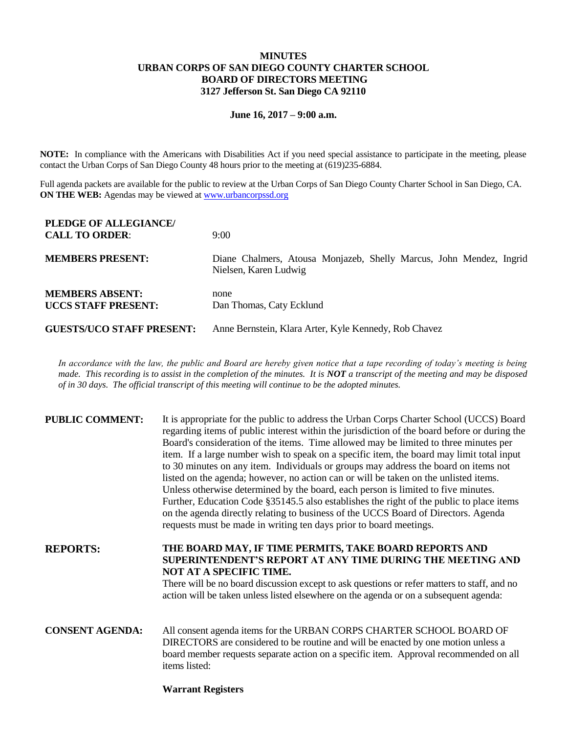## **MINUTES URBAN CORPS OF SAN DIEGO COUNTY CHARTER SCHOOL BOARD OF DIRECTORS MEETING 3127 Jefferson St. San Diego CA 92110**

#### **June 16, 2017 – 9:00 a.m.**

**NOTE:** In compliance with the Americans with Disabilities Act if you need special assistance to participate in the meeting, please contact the Urban Corps of San Diego County 48 hours prior to the meeting at (619)235-6884.

Full agenda packets are available for the public to review at the Urban Corps of San Diego County Charter School in San Diego, CA. **ON THE WEB:** Agendas may be viewed at [www.urbancorpssd.org](http://www.urbancorpssd.org/)

| PLEDGE OF ALLEGIANCE/<br><b>CALL TO ORDER:</b>       | 9:00                                                                                         |  |
|------------------------------------------------------|----------------------------------------------------------------------------------------------|--|
| <b>MEMBERS PRESENT:</b>                              | Diane Chalmers, Atousa Monjazeb, Shelly Marcus, John Mendez, Ingrid<br>Nielsen, Karen Ludwig |  |
| <b>MEMBERS ABSENT:</b><br><b>UCCS STAFF PRESENT:</b> | none<br>Dan Thomas, Caty Ecklund                                                             |  |
| <b>GUESTS/UCO STAFF PRESENT:</b>                     | Anne Bernstein, Klara Arter, Kyle Kennedy, Rob Chavez                                        |  |

*In accordance with the law, the public and Board are hereby given notice that a tape recording of today's meeting is being made. This recording is to assist in the completion of the minutes. It is NOT a transcript of the meeting and may be disposed of in 30 days. The official transcript of this meeting will continue to be the adopted minutes.*

| <b>PUBLIC COMMENT:</b> | It is appropriate for the public to address the Urban Corps Charter School (UCCS) Board<br>regarding items of public interest within the jurisdiction of the board before or during the<br>Board's consideration of the items. Time allowed may be limited to three minutes per<br>item. If a large number wish to speak on a specific item, the board may limit total input<br>to 30 minutes on any item. Individuals or groups may address the board on items not<br>listed on the agenda; however, no action can or will be taken on the unlisted items.<br>Unless otherwise determined by the board, each person is limited to five minutes.<br>Further, Education Code §35145.5 also establishes the right of the public to place items<br>on the agenda directly relating to business of the UCCS Board of Directors. Agenda<br>requests must be made in writing ten days prior to board meetings. |
|------------------------|----------------------------------------------------------------------------------------------------------------------------------------------------------------------------------------------------------------------------------------------------------------------------------------------------------------------------------------------------------------------------------------------------------------------------------------------------------------------------------------------------------------------------------------------------------------------------------------------------------------------------------------------------------------------------------------------------------------------------------------------------------------------------------------------------------------------------------------------------------------------------------------------------------|
| <b>REPORTS:</b>        | THE BOARD MAY, IF TIME PERMITS, TAKE BOARD REPORTS AND<br>SUPERINTENDENT'S REPORT AT ANY TIME DURING THE MEETING AND<br>NOT AT A SPECIFIC TIME.<br>There will be no board discussion except to ask questions or refer matters to staff, and no<br>action will be taken unless listed elsewhere on the agenda or on a subsequent agenda:                                                                                                                                                                                                                                                                                                                                                                                                                                                                                                                                                                  |
| <b>CONSENT AGENDA:</b> | All consent agenda items for the URBAN CORPS CHARTER SCHOOL BOARD OF<br>DIRECTORS are considered to be routine and will be enacted by one motion unless a<br>board member requests separate action on a specific item. Approval recommended on all<br>items listed:                                                                                                                                                                                                                                                                                                                                                                                                                                                                                                                                                                                                                                      |

## **Warrant Registers**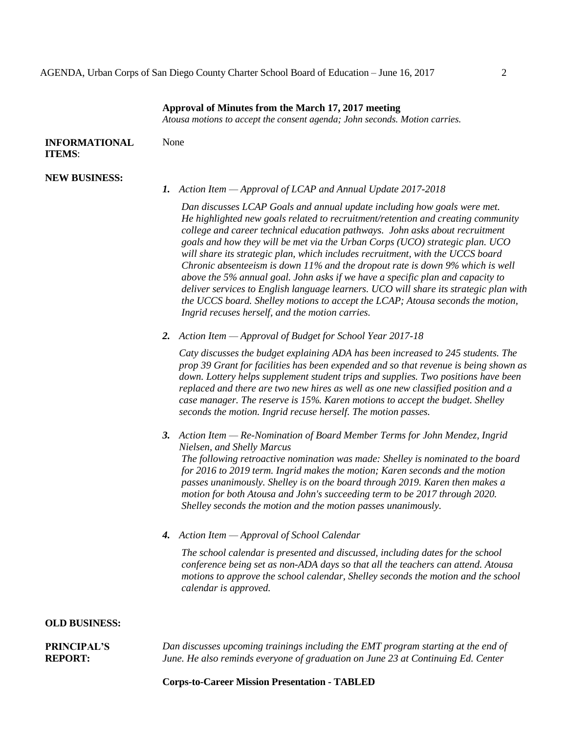#### **Approval of Minutes from the March 17, 2017 meeting**

*Atousa motions to accept the consent agenda; John seconds. Motion carries.*

| <b>INFORMATIONAL</b> | None |
|----------------------|------|
| <b>ITEMS:</b>        |      |

#### **NEW BUSINESS:**

*1. Action Item — Approval of LCAP and Annual Update 2017-2018*

*Dan discusses LCAP Goals and annual update including how goals were met. He highlighted new goals related to recruitment/retention and creating community college and career technical education pathways. John asks about recruitment goals and how they will be met via the Urban Corps (UCO) strategic plan. UCO will share its strategic plan, which includes recruitment, with the UCCS board Chronic absenteeism is down 11% and the dropout rate is down 9% which is well above the 5% annual goal. John asks if we have a specific plan and capacity to deliver services to English language learners. UCO will share its strategic plan with the UCCS board. Shelley motions to accept the LCAP; Atousa seconds the motion, Ingrid recuses herself, and the motion carries.*

*2. Action Item — Approval of Budget for School Year 2017-18*

*Caty discusses the budget explaining ADA has been increased to 245 students. The prop 39 Grant for facilities has been expended and so that revenue is being shown as down. Lottery helps supplement student trips and supplies. Two positions have been replaced and there are two new hires as well as one new classified position and a case manager. The reserve is 15%. Karen motions to accept the budget. Shelley seconds the motion. Ingrid recuse herself. The motion passes.*

- *3. Action Item — Re-Nomination of Board Member Terms for John Mendez, Ingrid Nielsen, and Shelly Marcus The following retroactive nomination was made: Shelley is nominated to the board for 2016 to 2019 term. Ingrid makes the motion; Karen seconds and the motion passes unanimously. Shelley is on the board through 2019. Karen then makes a motion for both Atousa and John's succeeding term to be 2017 through 2020. Shelley seconds the motion and the motion passes unanimously.*
- *4. Action Item — Approval of School Calendar*

*The school calendar is presented and discussed, including dates for the school conference being set as non-ADA days so that all the teachers can attend. Atousa motions to approve the school calendar, Shelley seconds the motion and the school calendar is approved.*

### **OLD BUSINESS:**

| <b>PRINCIPAL'S</b> | Dan discusses upcoming trainings including the EMT program starting at the end of |
|--------------------|-----------------------------------------------------------------------------------|
| <b>REPORT:</b>     | June. He also reminds everyone of graduation on June 23 at Continuing Ed. Center  |

### **Corps-to-Career Mission Presentation - TABLED**